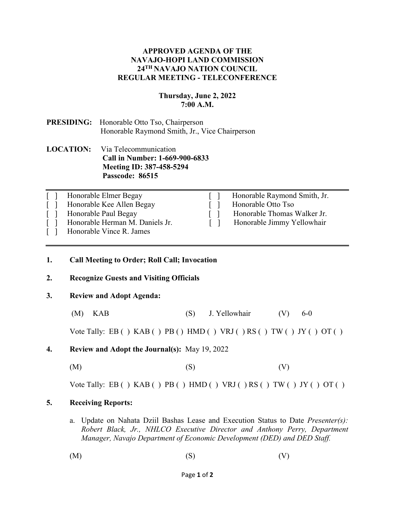## **APPROVED AGENDA OF THE NAVAJO-HOPI LAND COMMISSION 24TH NAVAJO NATION COUNCIL REGULAR MEETING - TELECONFERENCE**

## **Thursday, June 2, 2022 7:00 A.M.**

# **PRESIDING:** Honorable Otto Tso, Chairperson Honorable Raymond Smith, Jr., Vice Chairperson

## **LOCATION:** Via Telecommunication **Call in Number: 1-669-900-6833 Meeting ID: 387-458-5294 Passcode: 86515**

| Honorable Elmer Begay           | Honorable Raymond Smith, Jr. |
|---------------------------------|------------------------------|
| Honorable Kee Allen Begay       | Honorable Otto Tso           |
| Honorable Paul Begay            | Honorable Thomas Walker Jr.  |
| Honorable Herman M. Daniels Jr. | Honorable Jimmy Yellowhair   |
| Honorable Vince R. James        |                              |

#### **1. Call Meeting to Order; Roll Call; Invocation**

## **2. Recognize Guests and Visiting Officials**

## **3. Review and Adopt Agenda:**

(M) KAB (S) J. Yellowhair (V) 6-0

Vote Tally: EB ( )  $KAB$  ( )  $PB$  ( )  $HMD$  ( )  $VRJ$  ( )  $RS$  ( )  $TW$  ( )  $JY$  ( )  $OT$  ( )

- **4. Review and Adopt the Journal(s):** May 19, 2022
	- $(M)$  (S)  $(V)$

Vote Tally: EB ( )  $KAB$  ( )  $PB$  ( )  $HMD$  ( )  $VRJ$  ( )  $RS$  ( )  $TW$  ( )  $JY$  ( )  $OT$  ( )

#### **5. Receiving Reports:**

- a. Update on Nahata Dziil Bashas Lease and Execution Status to Date *Presenter(s): Robert Black, Jr., NHLCO Executive Director and Anthony Perry, Department Manager, Navajo Department of Economic Development (DED) and DED Staff.*
- $(M)$  (S)  $(V)$